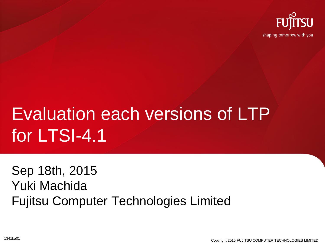

# Evaluation each versions of LTP for LTSI-4.1

Sep 18th, 2015 Yuki Machida Fujitsu Computer Technologies Limited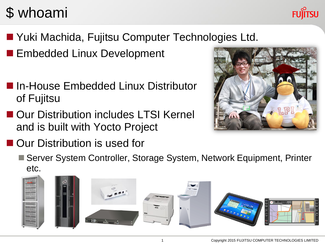## \$ whoami



- Yuki Machida, Fujitsu Computer Technologies Ltd.
- **Embedded Linux Development**
- **In-House Embedded Linux Distributor** of Fujitsu
- Our Distribution includes LTSI Kernel and is built with Yocto Project
- Our Distribution is used for

■ Server System Controller, Storage System, Network Equipment, Printer etc.

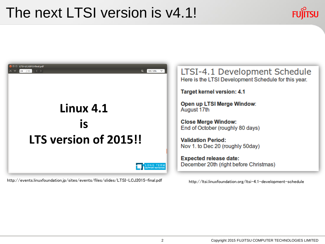## The next LTSI version is v4.1!





http://events.linuxfoundation.jp/sites/events/files/slides/LTSI-LCJ2015-final.pdf http://ltsi.linuxfoundation.org/ltsi-4.1-development-schedule

LTSI-4.1 Development Schedule Here is the LTSI Development Schedule for this year.

**Target kernel version: 4.1** 

Open up LTSI Merge Window:

**Close Merge Window:** End of October (roughly 80 days)

**Validation Period:** Nov 1. to Dec 20 (roughly 50day)

**Expected release date:** December 20th (right before Christmas)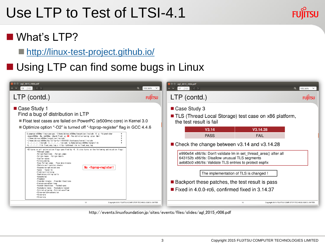## Use LTP to Test of LTSI-4.1



### What's LTP[?](http://linux-test-project.github.io/)

■ <http://linux-test-project.github.io/>

## ■ Using LTP can find some bugs in Linux

| <b>P</b> agl_2015_r006.pdf<br>13 / 43<br>— ∢ ⇒                                                                                                                                                                                                                                                                                                                                                                                                                                                                                                                                                                                                                                                                                                                                                                                                                                                                                                                                                                                                                                                                                                                                                                                                                                                                                                                                                | $\alpha$<br>105.56%<br>$\checkmark$ | $\bullet$ $\bullet$ agl_2015_r006.pdf<br>17<br>$\sim$ $\vee$<br>/43                                                                                                                                                                                                                                                                                                                                                                                                                                                                         | $\alpha$<br>105.56% $\vee$ |
|-----------------------------------------------------------------------------------------------------------------------------------------------------------------------------------------------------------------------------------------------------------------------------------------------------------------------------------------------------------------------------------------------------------------------------------------------------------------------------------------------------------------------------------------------------------------------------------------------------------------------------------------------------------------------------------------------------------------------------------------------------------------------------------------------------------------------------------------------------------------------------------------------------------------------------------------------------------------------------------------------------------------------------------------------------------------------------------------------------------------------------------------------------------------------------------------------------------------------------------------------------------------------------------------------------------------------------------------------------------------------------------------------|-------------------------------------|---------------------------------------------------------------------------------------------------------------------------------------------------------------------------------------------------------------------------------------------------------------------------------------------------------------------------------------------------------------------------------------------------------------------------------------------------------------------------------------------------------------------------------------------|----------------------------|
| $LTP$ (contd.)                                                                                                                                                                                                                                                                                                                                                                                                                                                                                                                                                                                                                                                                                                                                                                                                                                                                                                                                                                                                                                                                                                                                                                                                                                                                                                                                                                                | <b>FUJITSU</b>                      | LTP (contd.)                                                                                                                                                                                                                                                                                                                                                                                                                                                                                                                                | <b>FUJITSU</b>             |
| ■ Case Study 1<br>Find a bug of distribution in LTP<br>Float test cases are failed on PowerPC (e500mc core) in Kernel 3.0<br>■ Optimize option "-O2" is turned off "-fcprop-register" flag in GCC 4.4.6<br>\$ powerpc-e500mc-linux-gnu-gcc -I/home/ubinux/e500mc/target/usr/include -0 -g -fsigned-char<br>-mcpu=e500mc -Wa.-me500mc -mhard-float -g <b>-02</b> -fno-strict-aliasing -pipe -Wall<br>-I/home/ubinux/e500mc/target/usr/include<br>-I/home/ubinux/e500mc/build/ltp-full-20101031/testcases/kernel/include<br>-I. /. /. /. /. /include -I. /. /. /. / include -L/home/ubinux/e500mc/target/lib<br>-L././././ib float_exp_log.c -litp -ipthread -im -o float_exp_log<br>-02 turns on all optimization flags specified by -0. It also turns on the following optimization flags:<br>-fthread-jumps<br>-falign-functions -falign-jumps<br>-falign-loops -falign-labels<br>-fcaller-saves<br>-fcrossjumping<br>-fcse-follow-jumps -fcse-skip-blocks<br>-fdelete-null-pointer-checks<br>No -foprop-register!<br>-fexpensive-optimizations<br>-fgcse -fgcse-lm<br>-findirect-inlining<br>-foptimize-sibling-calls<br>-fpeephole2<br>-freemove<br>-freorder-blocks -freorder-functions<br>-frerun-cse-after-loop<br>-fsched-interblock -fsched-spec<br>-fschedule-insns -fschedule-insns2<br>-fstrict-aliasing -fstrict-overflow<br>-ftree-switch-conversion<br>-ftree-pre<br>-ftree-vrp |                                     | Case Study 3<br>■ TLS (Thread Local Storage) test case on x86 platform,<br>the test result is fail<br>V3.14<br>V3.14.28<br><b>PASS</b><br><b>FAIL</b><br>■ Check the change between v3.14 and v3.14.28<br>e990e54 x86/tls: Don't validate Im in set thread area() after all<br>643152b x86/tls: Disallow unusual TLS segments<br>aeb83c0 x86/tls: Validate TLS entries to protect espfix<br>The implementation of TLS is changed !<br>■ Backport these patches, the test result is pass<br>■ Fixed in 4.0.0-rc6, confirmed fixed in 3.14.37 |                            |
| 12<br>Copyright 2015 FUJITSU COMPUTER TECHNOLOGIES LIMITED                                                                                                                                                                                                                                                                                                                                                                                                                                                                                                                                                                                                                                                                                                                                                                                                                                                                                                                                                                                                                                                                                                                                                                                                                                                                                                                                    |                                     | 16<br>Copyright 2015 FUJITSU COMPUTER TECHNOLOGIES LIMITED                                                                                                                                                                                                                                                                                                                                                                                                                                                                                  |                            |

http://events.linuxfoundation.jp/sites/events/files/slides/agl\_2015\_r006.pdf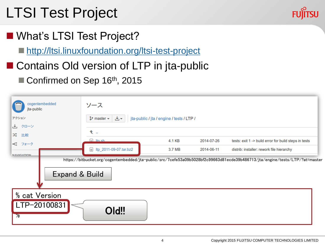## LTSI Test Project

- What's LTSI Test Project?
	- <http://ltsi.linuxfoundation.org/ltsi-test-project>
- Contains Old version of LTP in jta-public
	- Confirmed on Sep 16<sup>th</sup>, 2015

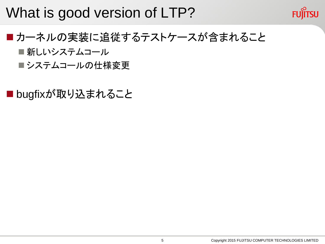## What is good version of LTP?



- ■カーネルの実装に追従するテストケースが含まれること ■ 新しいシステムコール
	- ■システムコールの仕様変更

■bugfixが取り込まれること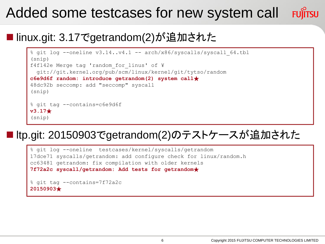## Added some testcases for new system call

#### linux.git: 3.17でgetrandom(2)が追加された

```
% git log --oneline v3.14..v4.1 -- arch/x86/syscalls/syscall 64.tbl
(snip)
f4f142e Merge tag 'random_for_linus' of ¥
   git://git.kernel.org/pub/scm/linux/kernel/git/tytso/random
c6e9d6f random: introduce getrandom(2) system call★
48dc92b seccomp: add "seccomp" syscall
(snip)
% git tag --contains=c6e9d6f
v3.17★
(snip)
```
### ltp.git: 20150903でgetrandom(2)のテストケースが追加された

% git log --oneline testcases/kernel/syscalls/getrandom 17dce71 syscalls/getrandom: add configure check for linux/random.h cc63481 getrandom: fix compilation with older kernels **7f72a2c syscall/getrandom: Add tests for getrandom**★

```
% git tag --contains=7f72a2c
20150903★
```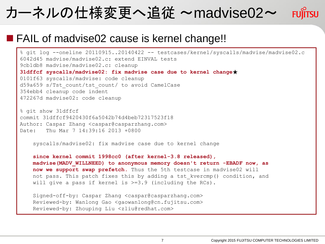## カーネルの仕様変更へ追従 ~madvise02~

#### **FAIL of madvise02 cause is kernel change!!**

% git log --oneline 20110915..20140422 -- testcases/kernel/syscalls/madvise/madvise02.c 6042d45 madvise/madvise02.c: extend EINVAL tests 9cb1db8 madvise/madvise02.c: cleanup **31dffcf syscalls/madvise02: fix madvise case due to kernel change**★ 0101f63 syscalls/madvise: code cleanup d59a659 s/Tst count/tst count/ to avoid CamelCase 354ebb4 cleanup code indent 472267d madvise02: code cleanup

% git show 31dffcf commit 31dffcf9420430f6a5042b74d4beb72317523f18 Author: Caspar Zhang <caspar@casparzhang.com> Date: Thu Mar 7 14:39:16 2013 +0800

syscalls/madvise02: fix madvise case due to kernel change

 **since kernel commit 1998cc0 (after kernel-3.8 released), madvise(MADV\_WILLNEED) to anonymous memory doesn't return -EBADF now, as now we support swap prefetch.** Thus the 5th testcase in madvise02 will not pass. This patch fixes this by adding a tst kvercmp() condition, and will give a pass if kernel is  $>=3.9$  (including the RCs).

 Signed-off-by: Caspar Zhang <caspar@casparzhang.com> Reviewed-by: Wanlong Gao <gaowanlong@cn.fujitsu.com> Reviewed-by: Zhouping Liu <zliu@redhat.com>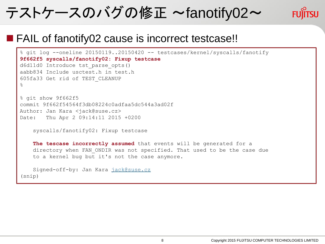## テストケースのバグの修正 ~fanotify02~



#### ■ FAIL of fanotify02 cause is incorrect testcase!!

```
% git log --oneline 20150119..20150420 -- testcases/kernel/syscalls/fanotify
9f662f5 syscalls/fanotify02: Fixup testcase
d6d11d0 Introduce tst_parse_opts()
aabb834 Include usctest.h in test.h
605fa33 Get rid of TEST_CLEANUP
%
% git show 9f662f5
commit 9f662f54564f3db08224c0adfaa5dc544a3ad02f
Author: Jan Kara <jack@suse.cz>
Date: Thu Apr 2 09:14:11 2015 +0200
     syscalls/fanotify02: Fixup testcase
     The tescase incorrectly assumed that events will be generated for a
     directory when FAN_ONDIR was not specified. That used to be the case due
     to a kernel bug but it's not the case anymore.
     Signed-off-by: Jan Kara jack@suse.cz
(snip)
```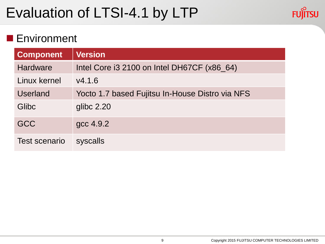## Evaluation of LTSI-4.1 by LTP



#### **Environment**

| <b>Component</b>     | <b>Version</b>                                  |
|----------------------|-------------------------------------------------|
| <b>Hardware</b>      | Intel Core i3 2100 on Intel DH67CF (x86_64)     |
| Linux kernel         | V4.1.6                                          |
| <b>Userland</b>      | Yocto 1.7 based Fujitsu In-House Distro via NFS |
| Glibc                | glibc $2.20$                                    |
| <b>GCC</b>           | gcc 4.9.2                                       |
| <b>Test scenario</b> | syscalls                                        |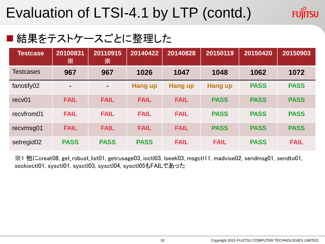## Evaluation of LTSI-4.1 by LTP (contd.)

#### ■ 結果をテストケースごとに整理した

| <b>Testcase</b>        | 20100831<br>※  | 20110915<br>※ | 20140422       | 20140828       | 20150119       | 20150420    | 20150903    |
|------------------------|----------------|---------------|----------------|----------------|----------------|-------------|-------------|
| <b>Testcases</b>       | 967            | 967           | 1026           | 1047           | 1048           | 1062        | 1072        |
| fanotify02             | $\blacksquare$ | ۰.            | <b>Hang up</b> | <b>Hang up</b> | <b>Hang up</b> | <b>PASS</b> | <b>PASS</b> |
| recv <sub>01</sub>     | <b>FAIL</b>    | <b>FAIL</b>   | <b>FAIL</b>    | <b>FAIL</b>    | <b>PASS</b>    | <b>PASS</b> | <b>PASS</b> |
| recyfrom01             | <b>FAIL</b>    | <b>FAIL</b>   | <b>FAIL</b>    | <b>FAIL</b>    | <b>PASS</b>    | <b>PASS</b> | <b>PASS</b> |
| recvmsg01              | <b>FAIL</b>    | <b>FAIL</b>   | <b>FAIL</b>    | <b>FAIL</b>    | <b>PASS</b>    | <b>PASS</b> | <b>PASS</b> |
| setregid <sub>02</sub> | <b>PASS</b>    | <b>PASS</b>   | <b>PASS</b>    | <b>FAIL</b>    | <b>FAIL</b>    | <b>PASS</b> | <b>FAIL</b> |

※1 他にcreat08, get\_robust\_list01, getrusage03, ioctl03, lseek03, msgctl11, madvise02, sendmsg01, sendto01, sockioctl01, sysctl01, sysctl03, sysctl04, sysctl05もFAILであった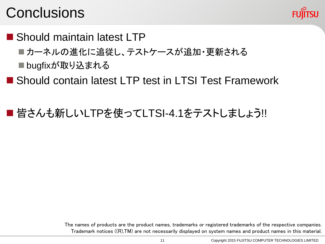## **Conclusions**



- Should maintain latest LTP
	- ■カーネルの進化に追従し、テストケースが追加・更新される
	- ■bugfixが取り込まれる
- Should contain latest LTP test in LTSI Test Framework
- 皆さんも新しいLTPを使ってLTSI-4.1をテストしましょう!!

The names of products are the product names, trademarks or registered trademarks of the respective companies. Trademark notices ((R),TM) are not necessarily displayed on system names and product names in this material.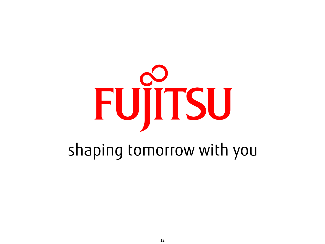# FUJITSU

## shaping tomorrow with you